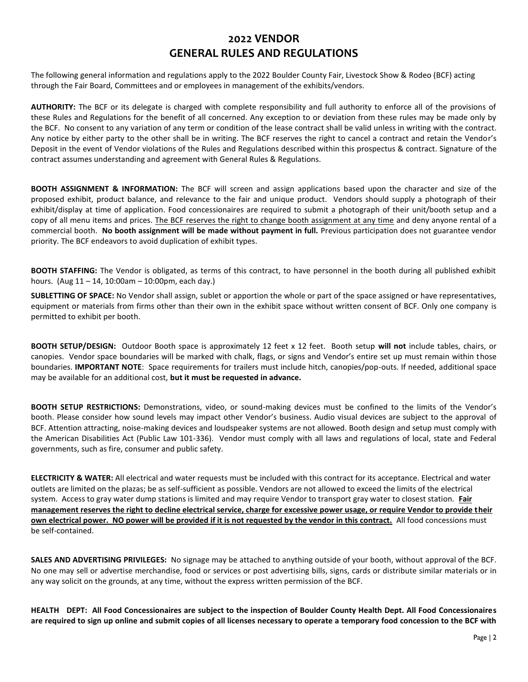## **2022 VENDOR GENERAL RULES AND REGULATIONS**

The following general information and regulations apply to the 2022 Boulder County Fair, Livestock Show & Rodeo (BCF) acting through the Fair Board, Committees and or employees in management of the exhibits/vendors.

**AUTHORITY:** The BCF or its delegate is charged with complete responsibility and full authority to enforce all of the provisions of these Rules and Regulations for the benefit of all concerned. Any exception to or deviation from these rules may be made only by the BCF. No consent to any variation of any term or condition of the lease contract shall be valid unless in writing with the contract. Any notice by either party to the other shall be in writing. The BCF reserves the right to cancel a contract and retain the Vendor's Deposit in the event of Vendor violations of the Rules and Regulations described within this prospectus & contract. Signature of the contract assumes understanding and agreement with General Rules & Regulations.

**BOOTH ASSIGNMENT & INFORMATION:** The BCF will screen and assign applications based upon the character and size of the proposed exhibit, product balance, and relevance to the fair and unique product. Vendors should supply a photograph of their exhibit/display at time of application. Food concessionaires are required to submit a photograph of their unit/booth setup and a copy of all menu items and prices. The BCF reserves the right to change booth assignment at any time and deny anyone rental of a commercial booth. **No booth assignment will be made without payment in full.** Previous participation does not guarantee vendor priority. The BCF endeavors to avoid duplication of exhibit types.

**BOOTH STAFFING:** The Vendor is obligated, as terms of this contract, to have personnel in the booth during all published exhibit hours. (Aug 11 – 14, 10:00am – 10:00pm, each day.)

**SUBLETTING OF SPACE:** No Vendor shall assign, sublet or apportion the whole or part of the space assigned or have representatives, equipment or materials from firms other than their own in the exhibit space without written consent of BCF. Only one company is permitted to exhibit per booth.

**BOOTH SETUP/DESIGN:** Outdoor Booth space is approximately 12 feet x 12 feet. Booth setup **will not** include tables, chairs, or canopies. Vendor space boundaries will be marked with chalk, flags, or signs and Vendor's entire set up must remain within those boundaries. **IMPORTANT NOTE**: Space requirements for trailers must include hitch, canopies/pop-outs. If needed, additional space may be available for an additional cost, **but it must be requested in advance.** 

**BOOTH SETUP RESTRICTIONS:** Demonstrations, video, or sound-making devices must be confined to the limits of the Vendor's booth. Please consider how sound levels may impact other Vendor's business. Audio visual devices are subject to the approval of BCF. Attention attracting, noise-making devices and loudspeaker systems are not allowed. Booth design and setup must comply with the American Disabilities Act (Public Law 101-336). Vendor must comply with all laws and regulations of local, state and Federal governments, such as fire, consumer and public safety.

**ELECTRICITY & WATER:** All electrical and water requests must be included with this contract for its acceptance. Electrical and water outlets are limited on the plazas; be as self-sufficient as possible. Vendors are not allowed to exceed the limits of the electrical system. Access to gray water dump stations is limited and may require Vendor to transport gray water to closest station. **Fair management reserves the right to decline electrical service, charge for excessive power usage, or require Vendor to provide their own electrical power. NO power will be provided if it is not requested by the vendor in this contract.** All food concessions must be self-contained.

**SALES AND ADVERTISING PRIVILEGES:** No signage may be attached to anything outside of your booth, without approval of the BCF. No one may sell or advertise merchandise, food or services or post advertising bills, signs, cards or distribute similar materials or in any way solicit on the grounds, at any time, without the express written permission of the BCF.

**HEALTH DEPT: All Food Concessionaires are subject to the inspection of Boulder County Health Dept. All Food Concessionaires are required to sign up online and submit copies of all licenses necessary to operate a temporary food concession to the BCF with**